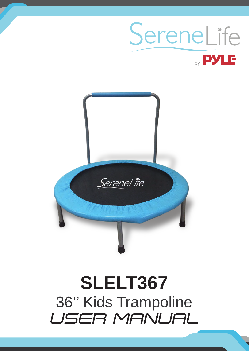## SereneLife by **PYLE**



# **SLELT367** 36" Kids Trampoline<br>USER MANUAL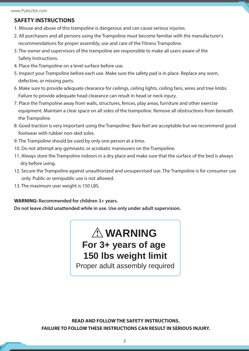#### **SAFETY INSTRUCTIONS**

- 1. Misuse and abuse of this trampoline is dangerous and can cause serious injuries.
- 2. All purchasers and all persons using the Trampoline must become familiar with the manufacturer's recommendations for proper assembly, use and care of the Fitness Trampoline.
- 3. The owner and supervisors of the trampoline are responsible to make all users aware of the Safety Instructions.
- 4. Place the Trampoline on a level surface before use.
- 5. Inspect your Trampoline before each use. Make sure the safety pad is in place. Replace any worn, defective, or missing parts.
- 6. Make sure to provide adequate clearance for ceilings, ceiling lights, ceiling fans, wires and tree limbs. Failure to provide adequate head clearance can result in head or neck injury.
- 7. Place the Trampoline away from walls, structures, fences, play areas, furniture and other exercise equipment. Maintain a clear space on all sides of the trampoline. Remove all obstructions from beneath the Trampoline.
- 8. Good traction is very important using the Trampoline. Bare feet are acceptable but we recommend good footwear with rubber non-skid soles.
- 9. The Trampoline should be used by only one person at a time.
- 10. Do not attempt any gymnastic or acrobatic maneuvers on the Trampoline.
- 11. Always store the Trampoline indoors in a dry place and make sure that the surface of the bed is always dry before using.
- 12. Secure the Trampoline against unauthorized and unsupervised use. The Trampoline is for consumer use only. Public or semipublic use is not allowed.
- 13. The maximum user weight is 150 LBS.

#### **WARNING: Recommended for children 3+ years.**

**Do not leave child unattended while in use. Use only under adult supervision.**

### **WARNING For 3+ years of age 150 lbs weight limit**

Proper adult assembly required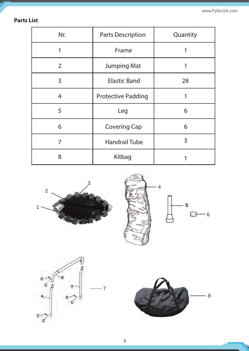www.PyleUSA.com

#### **Parts List**

| Nr.            | <b>Parts Description</b>  | Quantity |
|----------------|---------------------------|----------|
|                | Frame                     |          |
| $\overline{2}$ | <b>Jumping Mat</b>        |          |
| $\overline{3}$ | <b>Elastic Band</b>       | 28       |
| $\overline{4}$ | <b>Protective Padding</b> | 1        |
| 5              | Leg                       | 6        |
| 6              | <b>Covering Cap</b>       | 6        |
| 7              | <b>Handrail Tube</b>      | 3        |
| 8              | Kitbag                    |          |







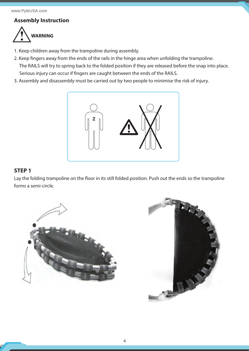#### **Assembly Instruction**



- 1. Keep children away from the trampoline during assembly.
- 2. Keep fingers away from the ends of the rails in the hinge area when unfolding the trampoline. The RAILS will try to spring back to the folded position if they are released before the snap into place. Serious injury can occur if fingers are caught between the ends of the RAILS.
- 3. Assembly and disassembly must be carried out by two people to minimise the risk of injury.



#### **STEP 1**

Lay the folding trampoline on the floor in its still folded position. Push out the ends so the trampoline forms a semi-circle.



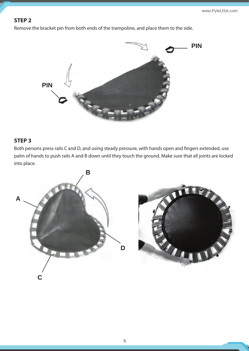#### **STEP 2**

Remove the bracket pin from both ends of the trampoline, and place them to the side.



#### **STEP 3**

Both persons press rails C and D, and using steady pressure, with hands open and fingers extended, use palm of hands to push rails A and B down until they touch the ground. Make sure that all joints are locked into place.

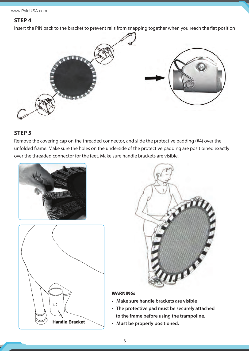#### **STEP 4**

Insert the PIN back to the bracket to prevent rails from snapping together when you reach the flat position



#### **STEP 5**

Remove the covering cap on the threaded connector, and slide the protective padding (#4) over the unfolded frame. Make sure the holes on the underside of the protective padding are positioined exactly over the threaded connector for the feet. Make sure handle brackets are visible.







#### **WARNING:**

- **Make sure handle brackets are visible**
- **The protective pad must be securely attached to the frame before using the trampoline.**
- **Must be properly positioned.**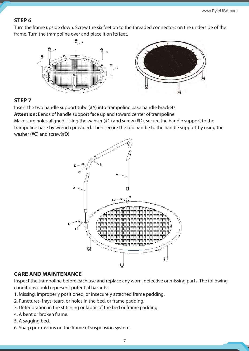#### **STEP 6**

Turn the frame upside down. Screw the six feet on to the threaded connectors on the underside of the frame. Turn the trampoline over and place it on its feet.



#### **STEP 7**

Insert the two handle support tube (#A) into trampoline base handle brackets.

**Attention:** Bends of handle support face up and toward center of trampoline.

Make sure holes aligned. Using the wahser (#C) and screw (#D), secure the handle support to the trampoline base by wrench provided. Then secure the top handle to the handle support by using the washer (#C) and screw(#D)



#### **CARE AND MAINTENANCE**

Inspect the trampoline before each use and replace any worn, defective or missing parts. The following conditions could represent potential hazards:

- 1. Missing, improperly positioned, or insecurely attached frame padding.
- 2. Punctures, frays, tears, or holes in the bed, or frame padding.
- 3. Deterioration in the stitching or fabric of the bed or frame padding.
- 4. A bent or broken frame.
- 5. A sagging bed.
- 6. Sharp protrusions on the frame of suspension system.